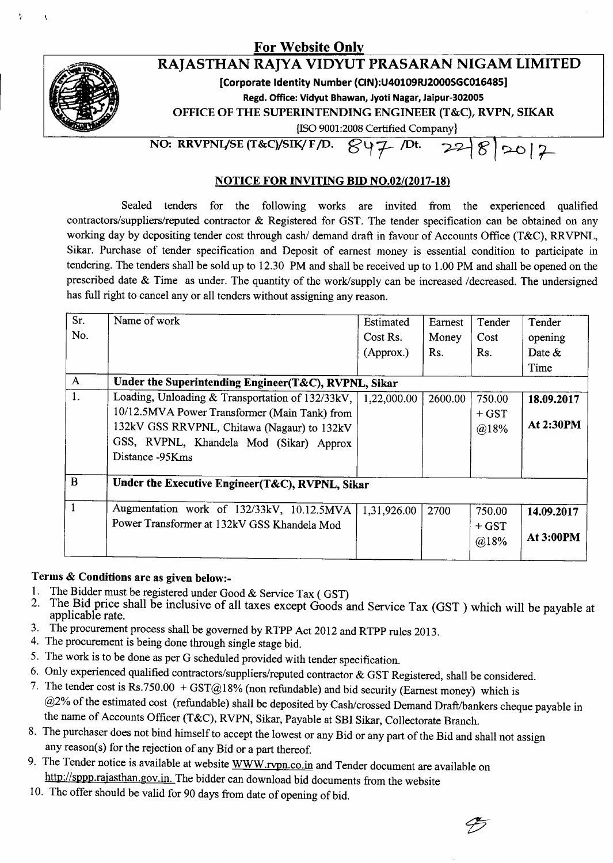## For Website Onl



<sup>,</sup> *r*

ţ

## RAJASTHAN RAJYA VIDYUT PRASARAN NIGAM LIMITED

[Corporate Identity Number (CIN):U40109RJ2000SGC016485]

Regd. Office: Vidyut Bhawan, Jyoti Nagar, Jaipur-30200S

OFFICE OF THE SUPERINTENDING ENGINEER (T&C), RVPN, SIKAR

{ISO9001:2008 Certified Company}

NO: RRVPNL/SE (T&C)/SIK/ F/D.  $\mathcal{L} \downarrow \mathcal{L}$  /Dt.  $20|2$ 

## NOTICE FOR INVITING BID *NO.02/(2017-18)*

Sealed tenders for the following works are invited from the experienced qualified contractors/suppliers/reputed contractor & Registered for GST. The tender specification can be obtained on any working day by depositing tender cost through cash/ demand draft in favour of Accounts Office (T&C), RRVPNL, Sikar. Purchase of tender specification and Deposit of earnest money is essential condition to participate in tendering. The tenders shall be sold up to 12.30 PM and shall be received up to 1.00 PM and shall be opened on the prescribed date & Time as under. The quantity of the work/supply can be increased /decreased. The undersigned has full right to cancel any or all tenders without assigning any reason.

| Sr.<br>No.<br>$\mathbf{A}$ | Name of work<br>Under the Superintending Engineer(T&C), RVPNL, Sikar                                                                                                                                           | Estimated<br>Cost Rs.<br>(Approx.) | Earnest<br>Money<br>Rs. | Tender<br>Cost<br>Rs.     | Tender<br>opening<br>Date $&$<br>Time |
|----------------------------|----------------------------------------------------------------------------------------------------------------------------------------------------------------------------------------------------------------|------------------------------------|-------------------------|---------------------------|---------------------------------------|
| 1.                         | Loading, Unloading & Transportation of 132/33kV,<br>10/12.5MVA Power Transformer (Main Tank) from<br>132kV GSS RRVPNL, Chitawa (Nagaur) to 132kV<br>GSS, RVPNL, Khandela Mod (Sikar) Approx<br>Distance -95Kms | 1,22,000.00                        | 2600.00                 | 750.00<br>$+$ GST<br>@18% | 18.09.2017<br>At 2:30PM               |
| B                          | Under the Executive Engineer(T&C), RVPNL, Sikar                                                                                                                                                                |                                    |                         |                           |                                       |
|                            | Augmentation work of 132/33kV, 10.12.5MVA<br>Power Transformer at 132kV GSS Khandela Mod                                                                                                                       | 1,31,926.00                        | 2700                    | 750.00<br>$+$ GST<br>@18% | 14.09.2017<br><b>At 3:00PM</b>        |

## Terms & Conditions are as given below:-

- 1. The Bidder must be registered under Good  $\&$  Service Tax (GST) 2. The Bid price shall be inclusive of all taxes except Goods a
- The Bid price shall be inclusive of all taxes except Goods and Service Tax (GST) which will be payable at applicable rate.
- 3. The procurement process shall be governed by RTPP Act 2012 and RTPP rules 2013.
- 4. The procurement is being done through single stage bid.
- 5. The work is to be done as per G scheduled provided with tender specification.
- 6. Only experienced qualified contractors/suppliers/reputed contractor & GST Registered, shall be considered.
- 7. The tender cost is Rs.750.00 + GST@18% (non refundable) and bid security (Earnest money) which is @2% of the estimated cost (refundable) shall be deposited by Cash/crossed Demand Draft/bankers cheque payable in the name of Accounts Officer (T&C), RVPN, Sikar, Payable at SBI Sikar, Collectorate Branch.
- 8. The purchaser does not bind himself to accept the lowest or any Bid or any part of the Bid and shall not assign any reason(s) for the rejection of any Bid or a part thereof.
- 9. The Tender notice is available at website WWW.rvpn.co.in and Tender document are available on http://sppp.rajasthan.gov.in. The bidder can download bid documents from the website
- 10. The offer should be valid for 90 days from date of opening of bid.